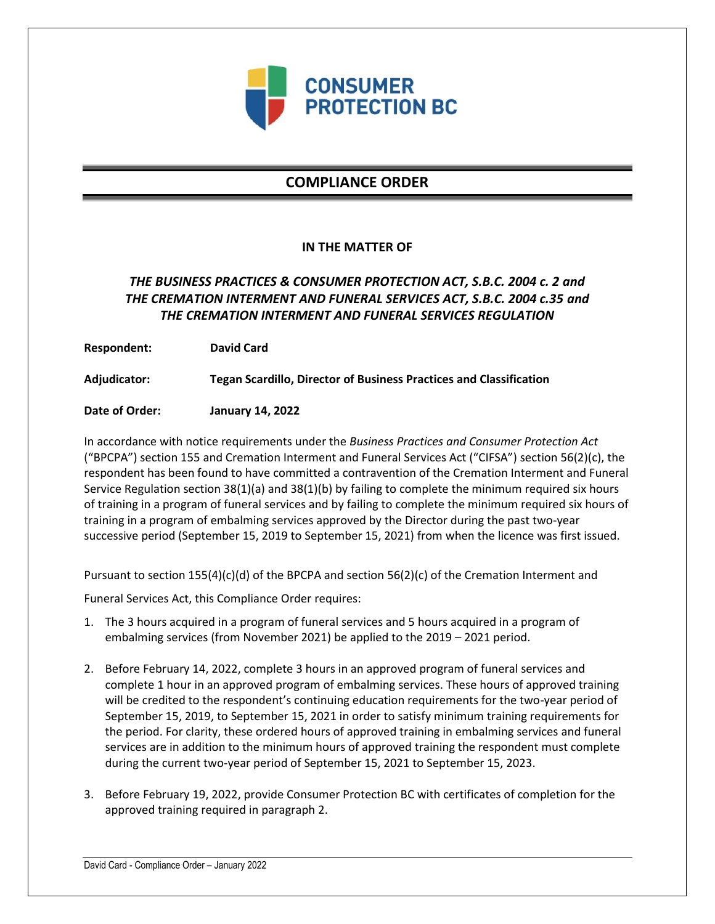

# **COMPLIANCE ORDER**

### **IN THE MATTER OF**

## *THE BUSINESS PRACTICES & CONSUMER PROTECTION ACT, S.B.C. 2004 c. 2 and THE CREMATION INTERMENT AND FUNERAL SERVICES ACT, S.B.C. 2004 c.35 and THE CREMATION INTERMENT AND FUNERAL SERVICES REGULATION*

**Respondent: David Card**

**Adjudicator: Tegan Scardillo, Director of Business Practices and Classification**

**Date of Order: January 14, 2022**

In accordance with notice requirements under the *Business Practices and Consumer Protection Act* ("BPCPA") section 155 and Cremation Interment and Funeral Services Act ("CIFSA") section 56(2)(c), the respondent has been found to have committed a contravention of the Cremation Interment and Funeral Service Regulation section 38(1)(a) and 38(1)(b) by failing to complete the minimum required six hours of training in a program of funeral services and by failing to complete the minimum required six hours of training in a program of embalming services approved by the Director during the past two-year successive period (September 15, 2019 to September 15, 2021) from when the licence was first issued.

Pursuant to section 155(4)(c)(d) of the BPCPA and section 56(2)(c) of the Cremation Interment and

Funeral Services Act, this Compliance Order requires:

- 1. The 3 hours acquired in a program of funeral services and 5 hours acquired in a program of embalming services (from November 2021) be applied to the 2019 – 2021 period.
- 2. Before February 14, 2022, complete 3 hours in an approved program of funeral services and complete 1 hour in an approved program of embalming services. These hours of approved training will be credited to the respondent's continuing education requirements for the two-year period of September 15, 2019, to September 15, 2021 in order to satisfy minimum training requirements for the period. For clarity, these ordered hours of approved training in embalming services and funeral services are in addition to the minimum hours of approved training the respondent must complete during the current two-year period of September 15, 2021 to September 15, 2023.
- 3. Before February 19, 2022, provide Consumer Protection BC with certificates of completion for the approved training required in paragraph 2.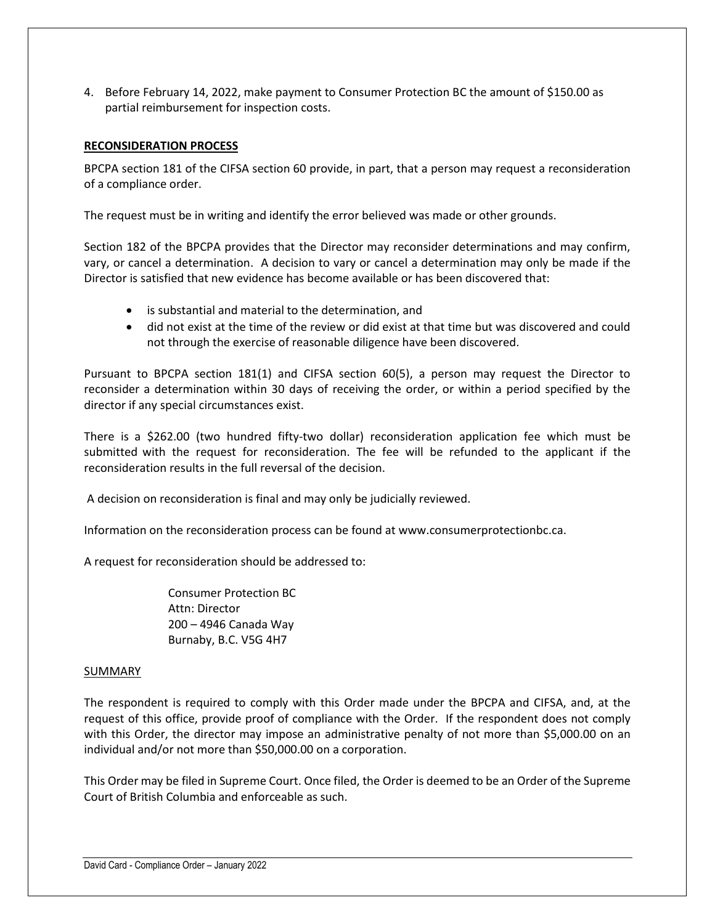4. Before February 14, 2022, make payment to Consumer Protection BC the amount of \$150.00 as partial reimbursement for inspection costs.

### **RECONSIDERATION PROCESS**

BPCPA section 181 of the CIFSA section 60 provide, in part, that a person may request a reconsideration of a compliance order.

The request must be in writing and identify the error believed was made or other grounds.

Section 182 of the BPCPA provides that the Director may reconsider determinations and may confirm, vary, or cancel a determination. A decision to vary or cancel a determination may only be made if the Director is satisfied that new evidence has become available or has been discovered that:

- is substantial and material to the determination, and
- did not exist at the time of the review or did exist at that time but was discovered and could not through the exercise of reasonable diligence have been discovered.

Pursuant to BPCPA section 181(1) and CIFSA section 60(5), a person may request the Director to reconsider a determination within 30 days of receiving the order, or within a period specified by the director if any special circumstances exist.

There is a \$262.00 (two hundred fifty-two dollar) reconsideration application fee which must be submitted with the request for reconsideration. The fee will be refunded to the applicant if the reconsideration results in the full reversal of the decision.

A decision on reconsideration is final and may only be judicially reviewed.

Information on the reconsideration process can be found at www.consumerprotectionbc.ca.

A request for reconsideration should be addressed to:

Consumer Protection BC Attn: Director 200 – 4946 Canada Way Burnaby, B.C. V5G 4H7

#### **SUMMARY**

The respondent is required to comply with this Order made under the BPCPA and CIFSA, and, at the request of this office, provide proof of compliance with the Order. If the respondent does not comply with this Order, the director may impose an administrative penalty of not more than \$5,000.00 on an individual and/or not more than \$50,000.00 on a corporation.

This Order may be filed in Supreme Court. Once filed, the Order is deemed to be an Order of the Supreme Court of British Columbia and enforceable as such.